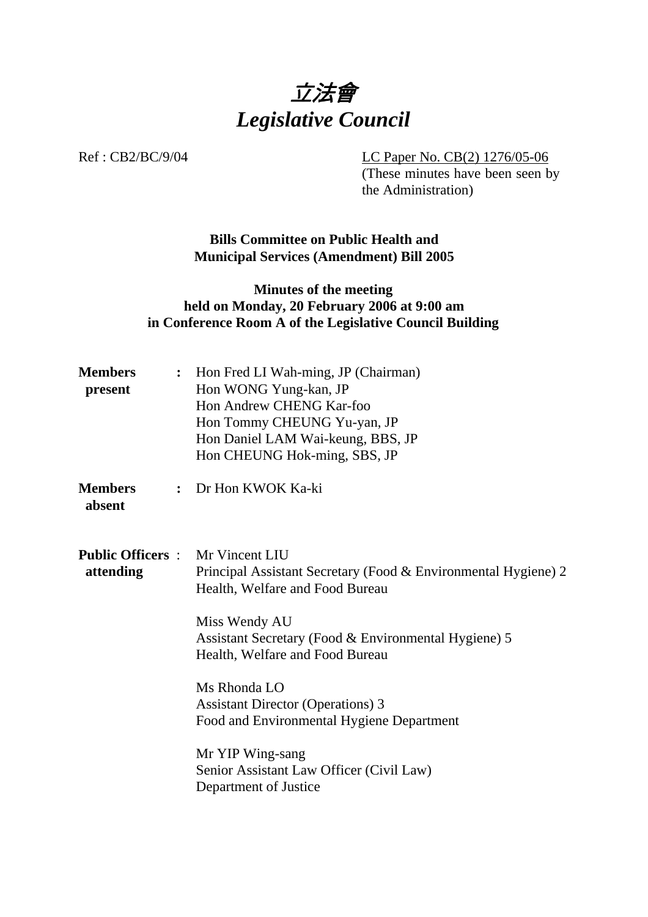

Ref : CB2/BC/9/04 LC Paper No. CB(2) 1276/05-06

(These minutes have been seen by the Administration)

**Bills Committee on Public Health and Municipal Services (Amendment) Bill 2005** 

## **Minutes of the meeting held on Monday, 20 February 2006 at 9:00 am in Conference Room A of the Legislative Council Building**

| <b>Members</b><br>present | : Hon Fred LI Wah-ming, JP (Chairman)<br>Hon WONG Yung-kan, JP<br>Hon Andrew CHENG Kar-foo<br>Hon Tommy CHEUNG Yu-yan, JP<br>Hon Daniel LAM Wai-keung, BBS, JP<br>Hon CHEUNG Hok-ming, SBS, JP                                                                                                                                                                                                                                                            |  |
|---------------------------|-----------------------------------------------------------------------------------------------------------------------------------------------------------------------------------------------------------------------------------------------------------------------------------------------------------------------------------------------------------------------------------------------------------------------------------------------------------|--|
| <b>Members</b><br>absent  | : Dr Hon KWOK Ka-ki                                                                                                                                                                                                                                                                                                                                                                                                                                       |  |
| attending                 | <b>Public Officers:</b> Mr Vincent LIU<br>Principal Assistant Secretary (Food & Environmental Hygiene) 2<br>Health, Welfare and Food Bureau<br>Miss Wendy AU<br>Assistant Secretary (Food & Environmental Hygiene) 5<br>Health, Welfare and Food Bureau<br>Ms Rhonda LO<br><b>Assistant Director (Operations) 3</b><br>Food and Environmental Hygiene Department<br>Mr YIP Wing-sang<br>Senior Assistant Law Officer (Civil Law)<br>Department of Justice |  |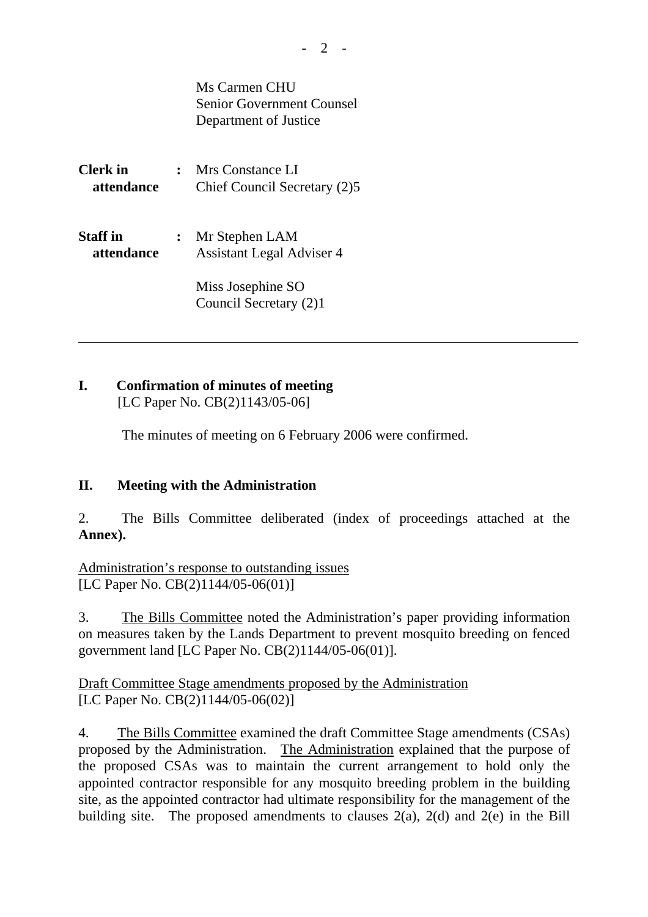Ms Carmen CHU Senior Government Counsel Department of Justice

**Clerk in :** Mrs Constance LI  **attendance** Chief Council Secretary (2)5

**Staff in :** Mr Stephen LAM **attendance Assistant Legal Adviser 4** 

> Miss Josephine SO Council Secretary (2)1

# **I. Confirmation of minutes of meeting**

[LC Paper No. CB(2)1143/05-06]

The minutes of meeting on 6 February 2006 were confirmed.

# **II. Meeting with the Administration**

2. The Bills Committee deliberated (index of proceedings attached at the **Annex).**

Administration's response to outstanding issues [LC Paper No. CB(2)1144/05-06(01)]

3. The Bills Committee noted the Administration's paper providing information on measures taken by the Lands Department to prevent mosquito breeding on fenced government land [LC Paper No. CB(2)1144/05-06(01)].

Draft Committee Stage amendments proposed by the Administration [LC Paper No. CB(2)1144/05-06(02)]

4. The Bills Committee examined the draft Committee Stage amendments (CSAs) proposed by the Administration. The Administration explained that the purpose of the proposed CSAs was to maintain the current arrangement to hold only the appointed contractor responsible for any mosquito breeding problem in the building site, as the appointed contractor had ultimate responsibility for the management of the building site. The proposed amendments to clauses  $2(a)$ ,  $2(d)$  and  $2(e)$  in the Bill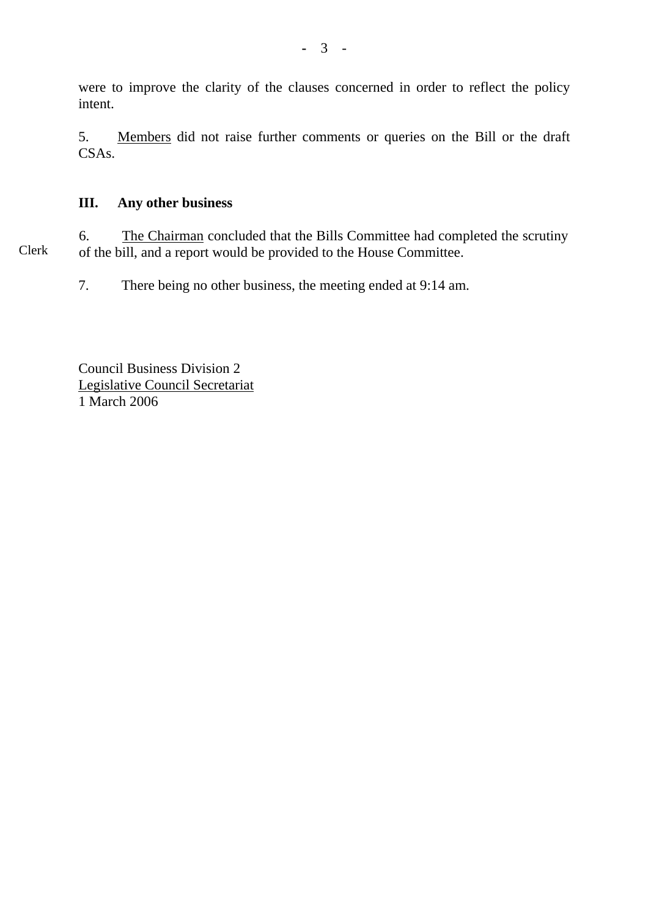were to improve the clarity of the clauses concerned in order to reflect the policy intent.

5. Members did not raise further comments or queries on the Bill or the draft CSAs.

## **III. Any other business**

Clerk 6. The Chairman concluded that the Bills Committee had completed the scrutiny of the bill, and a report would be provided to the House Committee.

7. There being no other business, the meeting ended at 9:14 am.

Council Business Division 2 Legislative Council Secretariat 1 March 2006